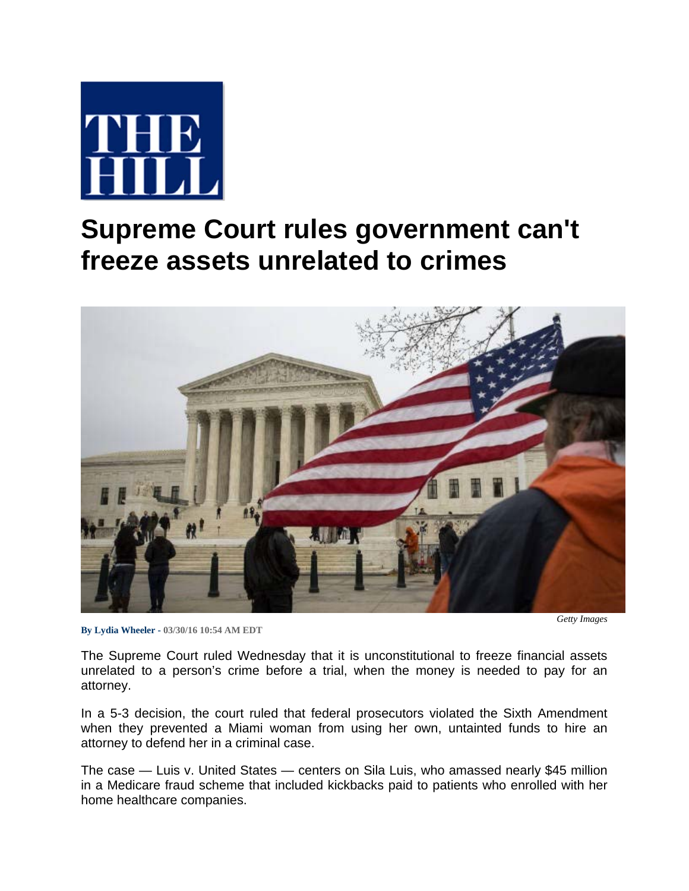

## **Supreme Court rules government can't freeze assets unrelated to crimes**



**By Lydia Wheeler - 03/30/16 10:54 AM EDT**

*Getty Images* 

The Supreme Court ruled Wednesday that it is unconstitutional to freeze financial assets unrelated to a person's crime before a trial, when the money is needed to pay for an attorney.

In a 5-3 decision, the court ruled that federal prosecutors violated the Sixth Amendment when they prevented a Miami woman from using her own, untainted funds to hire an attorney to defend her in a criminal case.

The case — Luis v. United States — centers on Sila Luis, who amassed nearly \$45 million in a Medicare fraud scheme that included kickbacks paid to patients who enrolled with her home healthcare companies.